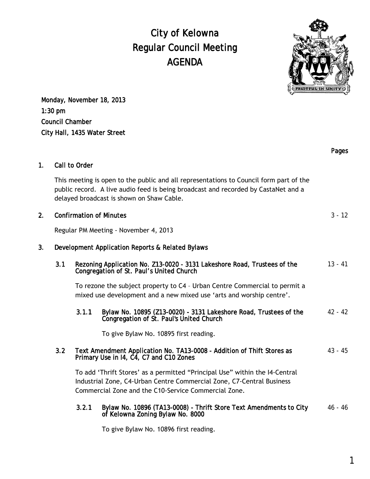## City of Kelowna Regular Council Meeting AGENDA



Monday, November 18, 2013 1:30 pm Council Chamber City Hall, 1435 Water Street

|                |                                                                                                                                                                                                                           |                                                                                                                                                                                                              |                                                                                                               | Pages     |
|----------------|---------------------------------------------------------------------------------------------------------------------------------------------------------------------------------------------------------------------------|--------------------------------------------------------------------------------------------------------------------------------------------------------------------------------------------------------------|---------------------------------------------------------------------------------------------------------------|-----------|
| 1 <sub>1</sub> | Call to Order                                                                                                                                                                                                             |                                                                                                                                                                                                              |                                                                                                               |           |
|                | This meeting is open to the public and all representations to Council form part of the<br>public record. A live audio feed is being broadcast and recorded by CastaNet and a<br>delayed broadcast is shown on Shaw Cable. |                                                                                                                                                                                                              |                                                                                                               |           |
| 2.             | <b>Confirmation of Minutes</b>                                                                                                                                                                                            |                                                                                                                                                                                                              |                                                                                                               | $3 - 12$  |
|                | Regular PM Meeting - November 4, 2013                                                                                                                                                                                     |                                                                                                                                                                                                              |                                                                                                               |           |
| 3.             | Development Application Reports & Related Bylaws                                                                                                                                                                          |                                                                                                                                                                                                              |                                                                                                               |           |
|                | 3.1                                                                                                                                                                                                                       | Rezoning Application No. Z13-0020 - 3131 Lakeshore Road, Trustees of the<br>Congregation of St. Paul's United Church                                                                                         |                                                                                                               | $13 - 41$ |
|                |                                                                                                                                                                                                                           | To rezone the subject property to C4 - Urban Centre Commercial to permit a<br>mixed use development and a new mixed use 'arts and worship centre'.                                                           |                                                                                                               |           |
|                |                                                                                                                                                                                                                           | 3.1.1                                                                                                                                                                                                        | Bylaw No. 10895 (Z13-0020) - 3131 Lakeshore Road, Trustees of the<br>Congregation of St. Paul's United Church | $42 - 42$ |
|                |                                                                                                                                                                                                                           |                                                                                                                                                                                                              | To give Bylaw No. 10895 first reading.                                                                        |           |
|                | 3.2                                                                                                                                                                                                                       | Text Amendment Application No. TA13-0008 - Addition of Thift Stores as<br>Primary Use in 14, C4, C7 and C10 Zones                                                                                            |                                                                                                               | $43 - 45$ |
|                |                                                                                                                                                                                                                           | To add 'Thrift Stores' as a permitted "Principal Use" within the I4-Central<br>Industrial Zone, C4-Urban Centre Commercial Zone, C7-Central Business<br>Commercial Zone and the C10-Service Commercial Zone. |                                                                                                               |           |
|                |                                                                                                                                                                                                                           | 3.2.1                                                                                                                                                                                                        | Bylaw No. 10896 (TA13-0008) - Thrift Store Text Amendments to City<br>of Kelowna Zoning Bylaw No. 8000        | $46 - 46$ |
|                |                                                                                                                                                                                                                           |                                                                                                                                                                                                              | To give Bylaw No. 10896 first reading.                                                                        |           |